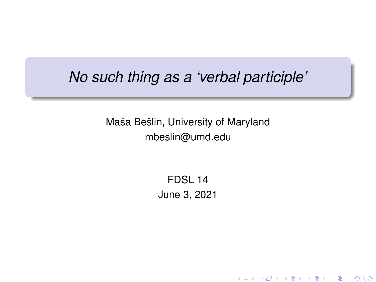## *No such thing as a 'verbal participle'*

Maša Bešlin, University of Maryland mbeslin@umd.edu

> FDSL 14 June 3, 2021

> > K ロ K K 御 K K 君 K K 君 K 「君

 $2Q$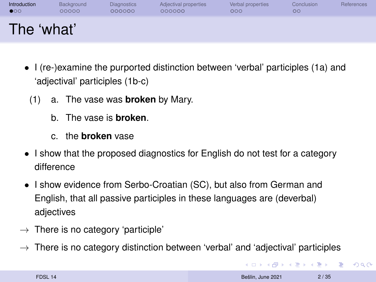<span id="page-1-0"></span>

| Introduction | Background | <b>Diagnostics</b> | Adjectival properties | Verbal properties | Conclusion | References |
|--------------|------------|--------------------|-----------------------|-------------------|------------|------------|
| $\bullet$    | 00000      | 000000             | 000000                | 000               | $\circ$    |            |
| The 'what'   |            |                    |                       |                   |            |            |

- I (re-)examine the purported distinction between 'verbal' participles (1a) and 'adjectival' participles (1b-c)
	- (1) a. The vase was **broken** by Mary.
		- b. The vase is **broken**.
		- c. the **broken** vase
- I show that the proposed diagnostics for English do not test for a category difference
- I show evidence from Serbo-Croatian (SC), but also from German and English, that all passive participles in these languages are (deverbal) adjectives
- $\rightarrow$  There is no category 'participle'
- $\rightarrow$  There is no category distinction between 'verbal' and 'adjectival' participles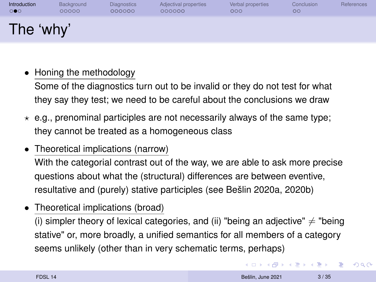| Introduction | Background | <b>Diagnostics</b> | Adjectival properties | Verbal properties | Conclusion | References |
|--------------|------------|--------------------|-----------------------|-------------------|------------|------------|
| ಂ            | 00000      | 000000             | 000000                | 000               | oo         |            |
| The 'why'    |            |                    |                       |                   |            |            |

• Honing the methodology

Some of the diagnostics turn out to be invalid or they do not test for what they say they test; we need to be careful about the conclusions we draw

- $\star$  e.g., prenominal participles are not necessarily always of the same type; they cannot be treated as a homogeneous class
- Theoretical implications (narrow)

With the categorial contrast out of the way, we are able to ask more precise questions about what the (structural) differences are between eventive, resultative and (purely) stative participles (see [Bešlin 2020a,](#page-34-0) [2020b\)](#page-34-1)

• Theoretical implications (broad)

(i) simpler theory of lexical categories, and (ii) "being an adjective"  $\neq$  "being stative" or, more broadly, a unified semantics for all members of a category seems unlikely (other than in very schematic terms, perhaps)

**KORK ERREST ADAMS**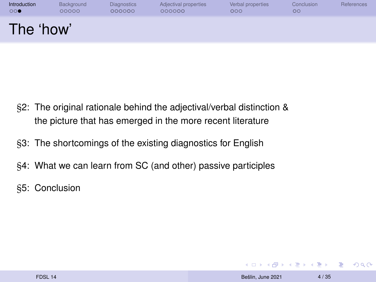| Introduction | Background | <b>Diagnostics</b> | Adjectival properties | Verbal properties | Conclusion | <b>References</b> |
|--------------|------------|--------------------|-----------------------|-------------------|------------|-------------------|
| 00●          | 00000      | 000000             | 000000                | 000               | oo         |                   |
| The 'how'    |            |                    |                       |                   |            |                   |

- §2: The original rationale behind the adjectival/verbal distinction & the picture that has emerged in the more recent literature
- §3: The shortcomings of the existing diagnostics for English
- §4: What we can learn from SC (and other) passive participles
- §5: Conclusion

KID KAR KE KE KE YA GA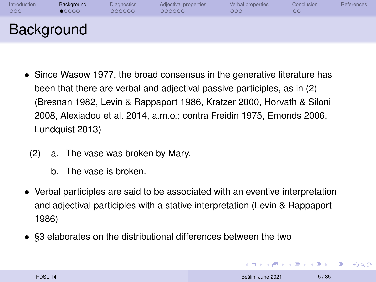<span id="page-4-0"></span>

| Introduction | Background | <b>Diagnostics</b> | Adjectival properties | Verbal properties | Conclusion | References |
|--------------|------------|--------------------|-----------------------|-------------------|------------|------------|
| 000          | 00000      | 000000             | 000000                | 000               | OΟ         |            |
| Background   |            |                    |                       |                   |            |            |

- Since [Wasow 1977,](#page-36-0) the broad consensus in the generative literature has been that there are verbal and adjectival passive participles, as in (2) [\(Bresnan 1982,](#page-34-2) [Levin & Rappaport 1986,](#page-35-1) [Kratzer 2000,](#page-35-2) [Horvath & Siloni](#page-35-3) [2008,](#page-35-3) [Alexiadou et al. 2014,](#page-34-3) a.m.o.; contra [Freidin 1975,](#page-35-4) [Emonds 2006,](#page-35-5) [Lundquist 2013\)](#page-35-6)
	- (2) a. The vase was broken by Mary.
		- b. The vase is broken.
- Verbal participles are said to be associated with an eventive interpretation and adjectival participles with a stative interpretation [\(Levin & Rappaport](#page-35-1) [1986\)](#page-35-1)
- §3 elaborates on the distributional differences between the two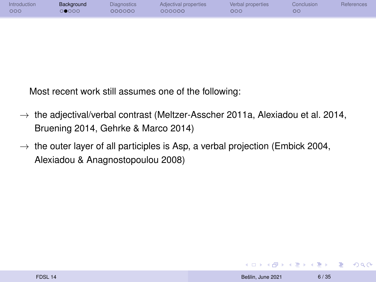| Introduction | Background | Diagnostics | Adjectival properties | Verbal properties | Conclusion | <b>References</b> |
|--------------|------------|-------------|-----------------------|-------------------|------------|-------------------|
| 000          | 0000       | 200000      | 200000                | 000               | OО         |                   |
|              |            |             |                       |                   |            |                   |

Most recent work still assumes one of the following:

- $\rightarrow$  the adjectival/verbal contrast [\(Meltzer-Asscher 2011a,](#page-36-1) [Alexiadou et al. 2014,](#page-34-3) [Bruening 2014,](#page-34-4) [Gehrke & Marco 2014\)](#page-35-7)
- $\rightarrow$  the outer layer of all participles is Asp, a verbal projection [\(Embick 2004,](#page-35-8) [Alexiadou & Anagnostopoulou 2008\)](#page-34-5)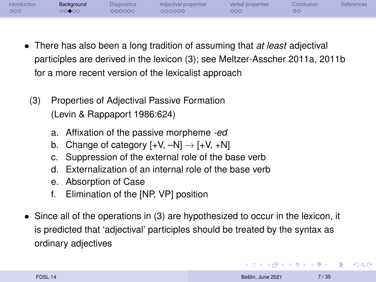| Introduction | Background | Diagnostics | Adjectival properties | Verbal properties | Conclusion | References |
|--------------|------------|-------------|-----------------------|-------------------|------------|------------|
| 000          | ೧೧●೦೦      | 000000      | 000000                | 000               | ОC         |            |

- There has also been a long tradition of assuming that *at least* adjectival participles are derived in the lexicon (3); see [Meltzer-Asscher 2011a,](#page-36-1) [2011b](#page-36-2) for a more recent version of the lexicalist approach
	- (3) Properties of Adjectival Passive Formation (Levin & Rappaport 1986:624)
		- a. Affixation of the passive morpheme *-ed*
		- b. Change of category  $[+V, -N] \rightarrow [+V, +N]$
		- c. Suppression of the external role of the base verb
		- d. Externalization of an internal role of the base verb
		- e. Absorption of Case
		- f. Elimination of the [NP, VP] position
- Since all of the operations in (3) are hypothesized to occur in the lexicon, it is predicted that 'adjectival' participles should be treated by the syntax as ordinary adjectives

**KORK ERREST ADAMS**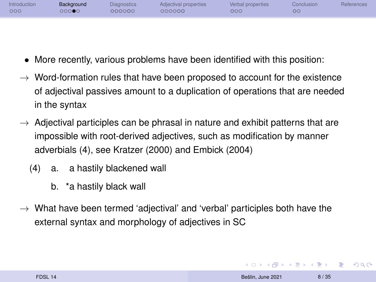| Introduction | Background | Diagnostics | Adjectival properties | Verbal properties | Conclusion | <b>References</b> |
|--------------|------------|-------------|-----------------------|-------------------|------------|-------------------|
| 000          | ⊃⊙⊙●C      | റററററ       | റററററ                 | 000               | ОC         |                   |
|              |            |             |                       |                   |            |                   |

- More recently, various problems have been identified with this position:
- $\rightarrow$  Word-formation rules that have been proposed to account for the existence of adjectival passives amount to a duplication of operations that are needed in the syntax
- $\rightarrow$  Adjectival participles can be phrasal in nature and exhibit patterns that are impossible with root-derived adjectives, such as modification by manner adverbials (4), see [Kratzer \(2000\)](#page-35-2) and [Embick \(2004\)](#page-35-8)
	- (4) a. a hastily blackened wall
		- b. \*a hastily black wall
- $\rightarrow$  What have been termed 'adjectival' and 'verbal' participles both have the external syntax and morphology of adjectives in SC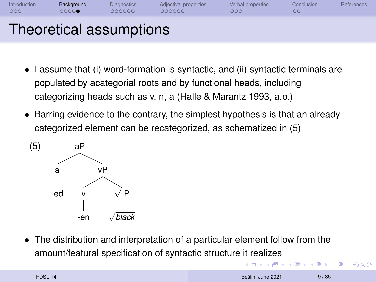| Introduction | Background | <b>Diagnostics</b>      | Adjectival properties | Verbal properties | Conclusion | References |
|--------------|------------|-------------------------|-----------------------|-------------------|------------|------------|
| 000          | 00000      | 000000                  | 000000                | 000               | $\circ$    |            |
|              |            | Theoretical assumptions |                       |                   |            |            |

- I assume that (i) word-formation is syntactic, and (ii) syntactic terminals are populated by acategorial roots and by functional heads, including categorizing heads such as v, n, a [\(Halle & Marantz 1993,](#page-35-9) a.o.)
- Barring evidence to the contrary, the simplest hypothesis is that an already categorized element can be recategorized, as schematized in (5)



• The distribution and interpretation of a particular element follow from the amount/featural specification of syntactic structure it realizes

 $\mathbf{A} \equiv \mathbf{A} + \mathbf{A} + \mathbf{B} + \mathbf{A} + \mathbf{B} + \mathbf{A} + \mathbf{B} + \mathbf{A} + \mathbf{B} + \mathbf{A} + \mathbf{B} + \mathbf{A} + \mathbf{B} + \mathbf{A} + \mathbf{B} + \mathbf{A} + \mathbf{B} + \mathbf{A} + \mathbf{B} + \mathbf{A} + \mathbf{B} + \mathbf{A} + \mathbf{B} + \mathbf{A} + \mathbf{B} + \mathbf{A} + \mathbf{B} + \mathbf{A} + \mathbf{B} + \mathbf{A} + \math$ 

 $2990$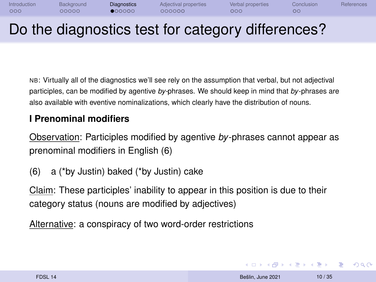<span id="page-9-0"></span>

| Introduction | Background | <b>Diagnostics</b> | Adjectival properties | Verbal properties | Conclusion | References |
|--------------|------------|--------------------|-----------------------|-------------------|------------|------------|
| 000          | 00000      | 000000             | 000000                | 000               | OC.        |            |
|              |            |                    |                       |                   |            |            |

## Do the diagnostics test for category differences?

NB: Virtually all of the diagnostics we'll see rely on the assumption that verbal, but not adjectival participles, can be modified by agentive *by-*phrases. We should keep in mind that *by*-phrases are also available with eventive nominalizations, which clearly have the distribution of nouns.

#### **I Prenominal modifiers**

Observation: Participles modified by agentive *by*-phrases cannot appear as prenominal modifiers in English (6)

(6) a (\*by Justin) baked (\*by Justin) cake

Claim: These participles' inability to appear in this position is due to their category status (nouns are modified by adjectives)

Alternative: a conspiracy of two word-order restrictions

**KORK ERREST ADAMS**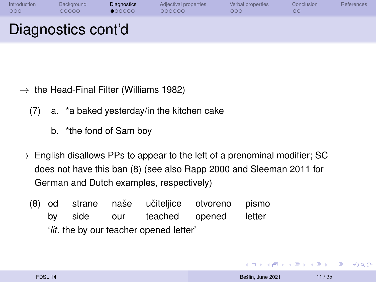| Introduction | Background         | <b>Diagnostics</b> | Adjectival properties | Verbal properties | Conclusion | References |
|--------------|--------------------|--------------------|-----------------------|-------------------|------------|------------|
| 000          | 00000              | 000000             | 000000                | 000               | ОC         |            |
|              | Diagnostics cont'd |                    |                       |                   |            |            |

- $\rightarrow$  the Head-Final Filter [\(Williams 1982\)](#page-36-3)
	- (7) a. \*a baked yesterday/in the kitchen cake
		- b. \*the fond of Sam boy
- $\rightarrow$  English disallows PPs to appear to the left of a prenominal modifier; SC does not have this ban (8) (see also [Rapp 2000](#page-36-4) and [Sleeman 2011](#page-36-5) for German and Dutch examples, respectively)
	- (8) od by strane side naše our učiteljice teached otvoreno opened pismo letter '*lit.* the by our teacher opened letter'

**KORK (FRANCISCO)** 

 $QQ$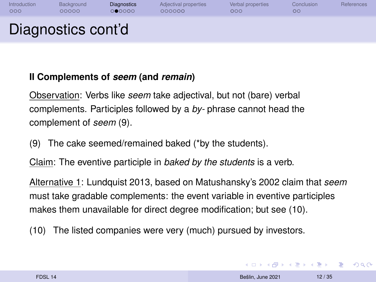| Introduction | Background         | <b>Diagnostics</b> | Adjectival properties | Verbal properties | Conclusion | <b>References</b> |
|--------------|--------------------|--------------------|-----------------------|-------------------|------------|-------------------|
| 000          | 00000              | 000000             | 000000                | 000               | OO         |                   |
|              | Diagnostics cont'd |                    |                       |                   |            |                   |

#### **II Complements of** *seem* **(and** *remain***)**

Observation: Verbs like *seem* take adjectival, but not (bare) verbal complements. Participles followed by a *by-* phrase cannot head the complement of *seem* (9).

(9) The cake seemed/remained baked (\*by the students).

Claim: The eventive participle in *baked by the students* is a verb.

Alternative 1: Lundquist 2013, based on [Matushansky'](#page-35-10)s 2002 claim that *seem* must take gradable complements: the event variable in eventive participles makes them unavailable for direct degree modification; but see (10).

(10) The listed companies were very (much) pursued by investors.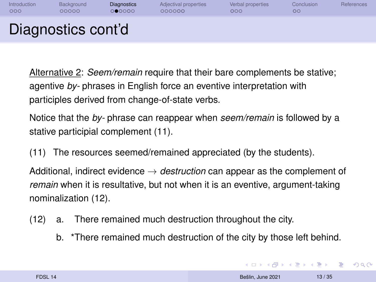| Introduction | Background         | <b>Diagnostics</b> | Adjectival properties | Verbal properties | Conclusion | <b>References</b> |
|--------------|--------------------|--------------------|-----------------------|-------------------|------------|-------------------|
| 000          | 00000              | 000000             | 000000                | 000               | $\circ$    |                   |
|              | Diagnostics cont'd |                    |                       |                   |            |                   |

Alternative 2: *Seem/remain* require that their bare complements be stative; agentive *by-* phrases in English force an eventive interpretation with participles derived from change-of-state verbs.

Notice that the *by-* phrase can reappear when *seem/remain* is followed by a stative participial complement (11).

(11) The resources seemed/remained appreciated (by the students).

Additional, indirect evidence → *destruction* can appear as the complement of *remain* when it is resultative, but not when it is an eventive, argument-taking nominalization (12).

- (12) a. There remained much destruction throughout the city.
	- b. \*There remained much destruction of the city by those left behind.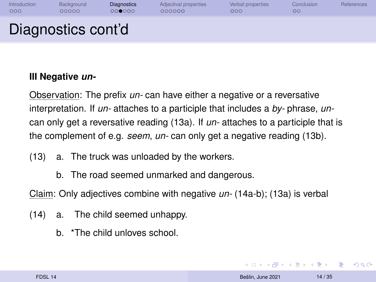| Introduction | Background         | <b>Diagnostics</b> | Adjectival properties | Verbal properties | Conclusion | References |
|--------------|--------------------|--------------------|-----------------------|-------------------|------------|------------|
| 000          | 00000              | 000000             | 000000                | 000               | $\circ$    |            |
|              | Diagnostics cont'd |                    |                       |                   |            |            |

#### **III Negative** *un-*

Observation: The prefix *un-* can have either a negative or a reversative interpretation. If *un-* attaches to a participle that includes a *by-* phrase, *un*can only get a reversative reading (13a). If *un-* attaches to a participle that is the complement of e.g. *seem*, *un-* can only get a negative reading (13b).

- (13) a. The truck was unloaded by the workers.
	- b. The road seemed unmarked and dangerous.

Claim: Only adjectives combine with negative *un-* (14a-b); (13a) is verbal

- (14) a. The child seemed unhappy.
	- b. \*The child unloves school.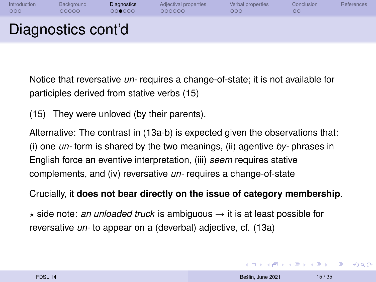| Introduction | Background         | <b>Diagnostics</b> | Adjectival properties | Verbal properties | Conclusion | References |
|--------------|--------------------|--------------------|-----------------------|-------------------|------------|------------|
| 000          | 00000              | 000000             | 000000                | 000               | OO         |            |
|              | Diagnostics cont'd |                    |                       |                   |            |            |

Notice that reversative *un-* requires a change-of-state; it is not available for participles derived from stative verbs (15)

(15) They were unloved (by their parents).

Alternative: The contrast in (13a-b) is expected given the observations that: (i) one *un-* form is shared by the two meanings, (ii) agentive *by-* phrases in English force an eventive interpretation, (iii) *seem* requires stative complements, and (iv) reversative *un-* requires a change-of-state

Crucially, it **does not bear directly on the issue of category membership**.

 $\star$  side note: *an unloaded truck* is ambiguous  $\rightarrow$  it is at least possible for reversative *un-* to appear on a (deverbal) adjective, cf. (13a)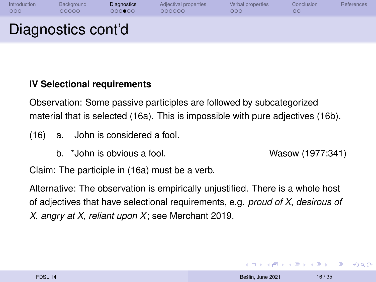| Introduction | Background         | <b>Diagnostics</b> | Adjectival properties | Verbal properties | Conclusion | References |
|--------------|--------------------|--------------------|-----------------------|-------------------|------------|------------|
| 000          | 00000              | 000000             | 000000                | 000               | OO         |            |
|              | Diagnostics cont'd |                    |                       |                   |            |            |

#### **IV Selectional requirements**

Observation: Some passive participles are followed by subcategorized material that is selected (16a). This is impossible with pure adjectives (16b).

- (16) a. John is considered a fool.
	- b. \*John is obvious a fool. Wasow (1977:341)

Claim: The participle in (16a) must be a verb.

Alternative: The observation is empirically unjustified. There is a whole host of adjectives that have selectional requirements, e.g. *proud of X*, *desirous of X*, *angry at X*, *reliant upon X*; see [Merchant 2019.](#page-36-6)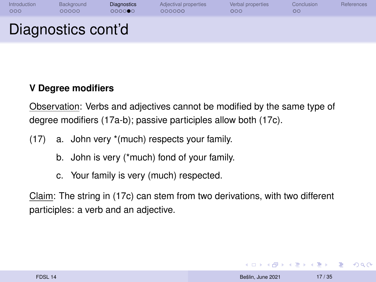| Introduction | Background         | <b>Diagnostics</b> | Adjectival properties | Verbal properties | Conclusion | References |
|--------------|--------------------|--------------------|-----------------------|-------------------|------------|------------|
| 000          | 00000              | 000000             | 000000                | 000               | $\circ$    |            |
|              | Diagnostics cont'd |                    |                       |                   |            |            |

#### **V Degree modifiers**

Observation: Verbs and adjectives cannot be modified by the same type of degree modifiers (17a-b); passive participles allow both (17c).

- (17) a. John very \*(much) respects your family.
	- b. John is very (\*much) fond of your family.
	- c. Your family is very (much) respected.

Claim: The string in (17c) can stem from two derivations, with two different participles: a verb and an adjective.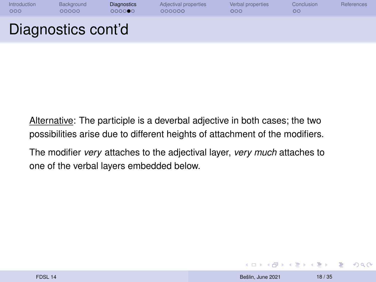| Introduction | Background         | <b>Diagnostics</b> | Adjectival properties | Verbal properties | Conclusion | <b>References</b> |
|--------------|--------------------|--------------------|-----------------------|-------------------|------------|-------------------|
| 000          | 00000              | 000000             | 000000                | 000               | OΟ         |                   |
|              | Diagnostics cont'd |                    |                       |                   |            |                   |

Alternative: The participle is a deverbal adjective in both cases; the two possibilities arise due to different heights of attachment of the modifiers.

The modifier *very* attaches to the adjectival layer, *very much* attaches to one of the verbal layers embedded below.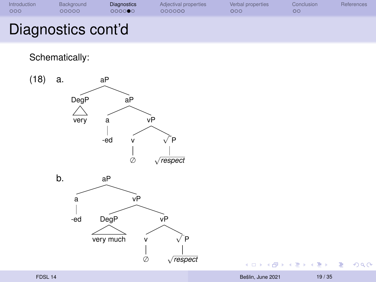| Introduction | Background         | <b>Diagnostics</b> | Adjectival properties | Verbal properties | Conclusion | References |
|--------------|--------------------|--------------------|-----------------------|-------------------|------------|------------|
| 000          | 00000              | 000000             | 000000                | 000               | OΟ         |            |
|              | Diagnostics cont'd |                    |                       |                   |            |            |

Schematically:



 $\left\{ \begin{array}{ccc} 1 & 0 & 0 \\ 0 & 1 & 0 \end{array} \right. \times \left\{ \begin{array}{ccc} 0 & 0 & 0 \\ 0 & 0 & 0 \end{array} \right. \times \left\{ \begin{array}{ccc} 0 & 0 & 0 \\ 0 & 0 & 0 \end{array} \right. \times \left\{ \begin{array}{ccc} 0 & 0 & 0 \\ 0 & 0 & 0 \end{array} \right. \times \left\{ \begin{array}{ccc} 0 & 0 & 0 \\ 0 & 0 & 0 \end{array} \right. \times \left\{ \begin{array}{ccc} 0 & 0 & 0 \\ 0 & 0 & 0 \end$ 

重。  $298$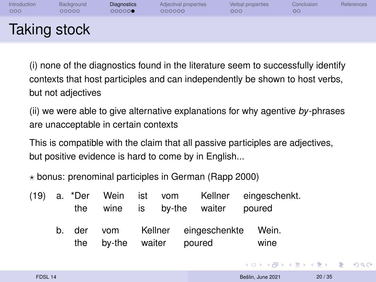| Introduction | Background          | <b>Diagnostics</b> | Adjectival properties | Verbal properties | Conclusion | References |
|--------------|---------------------|--------------------|-----------------------|-------------------|------------|------------|
| 000          | 00000               | 000000             | 000000                | 000               | $\circ$    |            |
|              | <b>Taking stock</b> |                    |                       |                   |            |            |

(i) none of the diagnostics found in the literature seem to successfully identify contexts that host participles and can independently be shown to host verbs, but not adjectives

(ii) we were able to give alternative explanations for why agentive *by*-phrases are unacceptable in certain contexts

This is compatible with the claim that all passive participles are adjectives, but positive evidence is hard to come by in English...

 $\star$  bonus: prenominal participles in German (Rapp 2000)

|  |     |               |  | (19) a. *Der Wein ist vom Kellner eingeschenkt.<br>the wine is by-the waiter | poured |
|--|-----|---------------|--|------------------------------------------------------------------------------|--------|
|  | the | by-the waiter |  | b. der vom Kellner eingeschenkte Wein.<br>poured                             | wine   |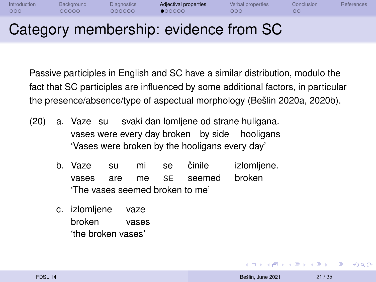<span id="page-20-0"></span>

| Introduction | Background | Diagnostics | Adjectival properties | Verbal properties | Conclusion <sup>1</sup> | References |
|--------------|------------|-------------|-----------------------|-------------------|-------------------------|------------|
| 000          | 20000      | 200000      | 000000                | ೦೦೦               | <b>OC</b>               |            |
|              |            |             |                       |                   |                         |            |

## Category membership: evidence from SC

Passive participles in English and SC have a similar distribution, modulo the fact that SC participles are influenced by some additional factors, in particular the presence/absence/type of aspectual morphology [\(Bešlin 2020a,](#page-34-0) [2020b\)](#page-34-1).

- (20) a. Vaze su svaki dan lomljene od strane huligana. vases were every day broken by side hooligans 'Vases were broken by the hooligans every day'
	- b. Vaze vases su are mi me se SE činile seemed izlomljene. broken 'The vases seemed broken to me'
	- c. izlomljene broken vaze vases 'the broken vases'

 $\equiv$ 

 $2990$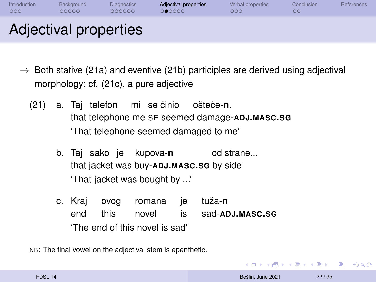| Introduction | Background            | <b>Diagnostics</b> | Adjectival properties | Verbal properties | Conclusion | References |
|--------------|-----------------------|--------------------|-----------------------|-------------------|------------|------------|
| 000          | 00000                 | 000000             | 000000                | 000               | OΟ         |            |
|              | Adjectival properties |                    |                       |                   |            |            |

- $\rightarrow$  Both stative (21a) and eventive (21b) participles are derived using adjectival morphology; cf. (21c), a pure adjective
	- (21) a. Tai telefon mi se činio ošteće-**n**. that telephone me SE seemed damage-**ADJ.MASC.SG** 'That telephone seemed damaged to me'
		- b. Taj sako je kupova-**n** od strane... that jacket was buy-**ADJ.MASC.SG** by side 'That jacket was bought by ...'
		- c. Kraj end ovog this romana je novel is tuža-**n** sad-**ADJ.MASC.SG** 'The end of this novel is sad'

NB: The final vowel on the adjectival stem is epenthetic.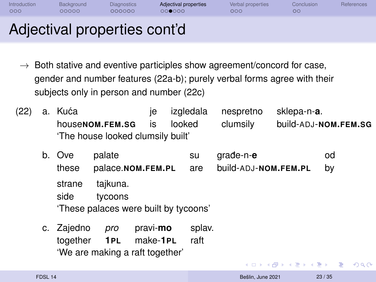| Introduction | Background | Diagnostics | Adjectival properties | Verbal properties | Conclusion | <b>References</b> |
|--------------|------------|-------------|-----------------------|-------------------|------------|-------------------|
| 000          | 00000      | 000000      | 00●000                | 000               | OО         |                   |
| $ -$         |            |             |                       |                   |            |                   |

- $\rightarrow$  Both stative and eventive participles show agreement/concord for case, gender and number features (22a-b); purely verbal forms agree with their subjects only in person and number (22c)
- (22) a. Kuća house**NOM.FEM.SG** je is izgledala looked nespretno clumsily sklepa-n-**a**. build-ADJ-**NOM.FEM.SG** 'The house looked clumsily built'
	- b. Ove these palate palace.**NOM.FEM.PL** su are građe-n-e build-ADJ-**NOM.FEM.PL** od by strane side tajkuna. tycoons 'These palaces were built by tycoons'
	- c. Zajedno together *pro* **1PL** pravi-**mo** make-**1PL** splav. raft 'We are making a raft together'

Þ

 $2990$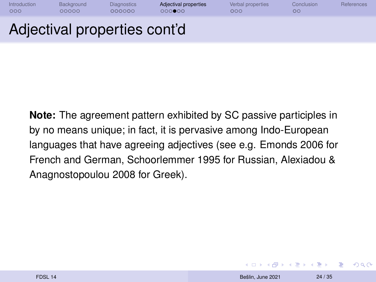[Introduction](#page-1-0) [Background](#page-4-0) [Diagnostics](#page-9-0) **[Adjectival properties](#page-20-0)** [Verbal properties](#page-28-0) [Conclusion](#page-32-0) [References](#page-35-0)  $OO$ 

#### Adjectival properties cont'd

**Note:** The agreement pattern exhibited by SC passive participles in by no means unique; in fact, it is pervasive among Indo-European languages that have agreeing adjectives (see e.g. [Emonds 2006](#page-35-5) for French and German, [Schoorlemmer 1995](#page-36-7) for Russian, [Alexiadou &](#page-34-5) [Anagnostopoulou 2008](#page-34-5) for Greek).

 $\equiv$ 

 $\Omega$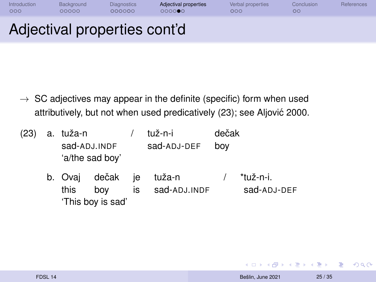| Introduction | Background                                                                                                                                                                                                                                     | <b>Diagnostics</b> | Adjectival properties | Verbal properties | Conclusion | References |
|--------------|------------------------------------------------------------------------------------------------------------------------------------------------------------------------------------------------------------------------------------------------|--------------------|-----------------------|-------------------|------------|------------|
| OOG          | 20000                                                                                                                                                                                                                                          | 000000             | 000000                | 000               | OO         |            |
|              | <b>Contract Contract Contract Contract Contract Contract Contract Contract Contract Contract Contract Contract Co</b><br><b>Contract Contract Contract Contract Contract Contract Contract Contract Contract Contract Contract Contract Co</b> |                    |                       |                   |            |            |

- $\rightarrow$  SC adjectives may appear in the definite (specific) form when used attributively, but not when used predicatively (23); see [Aljovic 2000.](#page-34-6) ´
- (23) a. tuža-n sad-ADJ.INDF sad-ADJ-DEF tuž-n-i dečak boy 'a/the sad boy'
	- b. Ovaj this dečak boy je tuža-n is sad-ADJ.INDF / \*tuž-n-i. sad-ADJ-DEF 'This boy is sad'

 $\equiv$   $\Omega$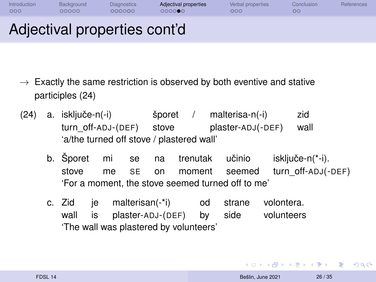| Introduction | Background | <b>Diagnostics</b> | Adjectival properties | Verbal properties | Conclusion | <b>References</b> |
|--------------|------------|--------------------|-----------------------|-------------------|------------|-------------------|
| 000          | 20000      | 000000             | റററററ                 | 000 <sub>1</sub>  | $\circ$    |                   |
|              |            |                    |                       |                   |            |                   |

- Exactly the same restriction is observed by both eventive and stative participles (24)
- $(24)$  a. isključe-n $(-i)$ turn\_off-ADJ-(DEF) stove šporet / malterisa-n(-i) plaster-ADJ(-DEF) zid wall 'a/the turned off stove / plastered wall'
	- b. Šporet stove mi se na trenutak učinio me SE on moment seemed isključe-n(\*-i). turn\_off-ADJ(-DEF) 'For a moment, the stove seemed turned off to me'
	- c. Zid je malterisan(-\*i) od wall is plaster-ADJ-(DEF) by strane side volontera. volunteers 'The wall was plastered by volunteers'

 $\left\{ \begin{array}{ccc} 1 & 0 & 0 \\ 0 & 1 & 0 \end{array} \right.$ 

(B)  $2990$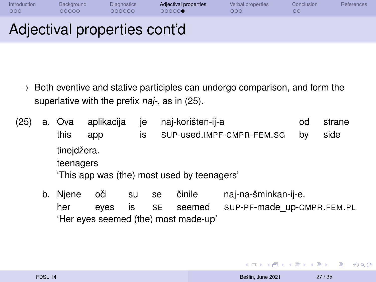| Introduction | Background | <b>Diagnostics</b> | Adjectival properties | Verbal properties | Conclusion | <b>References</b> |
|--------------|------------|--------------------|-----------------------|-------------------|------------|-------------------|
| 000          | 20000      | 000000             | 000000                | 000 <sub>o</sub>  | OΟ         |                   |
|              |            |                    |                       |                   |            |                   |

- $\rightarrow$  Both eventive and stative participles can undergo comparison, and form the superlative with the prefix *naj-*, as in (25).
- (25) a. Ova aplikacija this app je is naj-korišten-ij-a SUP-used.IMPF-CMPR-FEM.SG od by strane side tinejdžera. teenagers 'This app was (the) most used by teenagers'
	- b. Njene her oči su se eyes is SE činile seemed naj-na-šminkan-ij-e. SUP-PF-made\_up-CMPR.FEM.PL 'Her eyes seemed (the) most made-up'

**KORK (FRANCISCO)** 

 $QQ$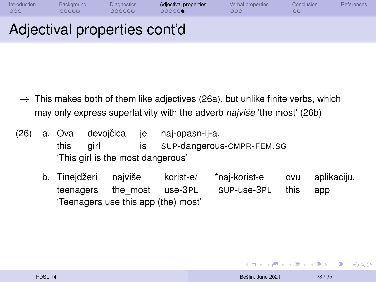| Introduction | Background | Diagnostics | Adjectival properties | Verbal properties | Conclusion | <b>References</b> |
|--------------|------------|-------------|-----------------------|-------------------|------------|-------------------|
| 000          | 20000      | 200000      | 000000                | 200               | OΟ         |                   |
| . .          |            | . .         | . .                   |                   |            |                   |

- $\rightarrow$  This makes both of them like adjectives (26a), but unlike finite verbs, which may only express superlativity with the adverb *najviše* 'the most' (26b)
- (26) a. Ova this devojčica je naj-opasn-ij-a. girl is SUP-dangerous-CMPR-FEM.SG 'This girl is the most dangerous'
	- b. Tinejdžeri teenagers najviše the\_most use-3PL korist-e/ \*naj-korist-e SUP-use-3PL ovu this aplikaciju. app 'Teenagers use this app (the) most'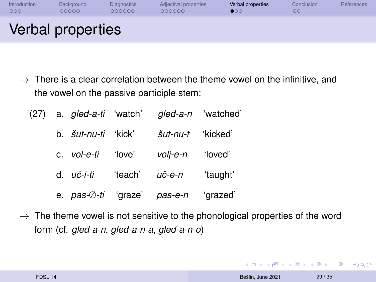<span id="page-28-0"></span>

| Introduction | Background        | <b>Diagnostics</b> | Adjectival properties | Verbal properties | Conclusion | References |
|--------------|-------------------|--------------------|-----------------------|-------------------|------------|------------|
| 000          | 00000             | 000000             | 000000                | 000               | $\circ$    |            |
|              | Verbal properties |                    |                       |                   |            |            |

- $\rightarrow$  There is a clear correlation between the theme vowel on the infinitive, and the vowel on the passive participle stem:
	- (27) a. *gled-a-ti* 'watch' *gled-a-n* 'watched' b. *šut-nu-ti* 'kick' *šut-nu-t* 'kicked' c. *vol-e-ti* 'love' *volj-e-n* 'loved' d. *uc-i-ti ˇ* 'teach' *uc-e-n ˇ* 'taught' e. *pas-*∅*-ti* 'graze' *pas-e-n* 'grazed'
- $\rightarrow$  The theme vowel is not sensitive to the phonological properties of the word form (cf. *gled-a-n*, *gled-a-n-a*, *gled-a-n-o*)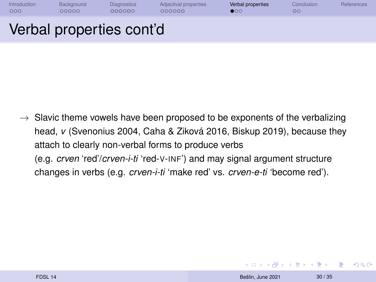| Introduction | Background | <b>Diagnostics</b>       | Adjectival properties | Verbal properties | Conclusion | References |
|--------------|------------|--------------------------|-----------------------|-------------------|------------|------------|
| 000          | 00000      | 000000                   | 000000                | $\bullet$ 00      | OΟ         |            |
|              |            | Verbal properties cont'd |                       |                   |            |            |

 $\rightarrow$  Slavic theme vowels have been proposed to be exponents of the verbalizing head, *v* [\(Svenonius 2004,](#page-36-8) [Caha & Ziková 2016,](#page-34-7) [Biskup 2019\)](#page-34-8), because they attach to clearly non-verbal forms to produce verbs (e.g. *crven* 'red'/*crven-i-ti* 'red-V-INF') and may signal argument structure changes in verbs (e.g. *crven-i-ti* 'make red' vs. *crven-e-ti* 'become red').

**KORK (FRANCIST)** 

 $QQ$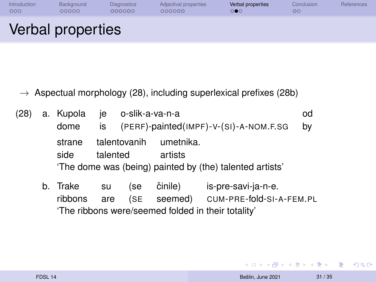| Introduction | Background        | <b>Diagnostics</b> | Adjectival properties | Verbal properties     | Conclusion | References |
|--------------|-------------------|--------------------|-----------------------|-----------------------|------------|------------|
| 000          | 00000             | 000000             | 000000                | $\circ \bullet \circ$ | ОC         |            |
|              | Verbal properties |                    |                       |                       |            |            |

 $\rightarrow$  Aspectual morphology (28), including superlexical prefixes (28b)

|  |        | (28) a. Kupola je o-slik-a-va-n-a |                                                          | od |
|--|--------|-----------------------------------|----------------------------------------------------------|----|
|  | dome   |                                   | $is$ (PERF)-painted(IMPF)-V-(SI)-A-NOM.F.SG              | bv |
|  | strane | talentovanih                      | umetnika.                                                |    |
|  | side   | talented                          | artists                                                  |    |
|  |        |                                   | 'The dome was (being) painted by (the) talented artists' |    |

b. Trake ribbons su are (se činile) is-pre-savi-ja-n-e. (SE seemed) CUM-PRE-fold-SI-A-FEM.PL 'The ribbons were/seemed folded in their totality'

 $\left\{ \begin{array}{ccc} 1 & 0 & 0 \\ 0 & 1 & 0 \end{array} \right.$ 

 $\equiv$   $\Omega Q$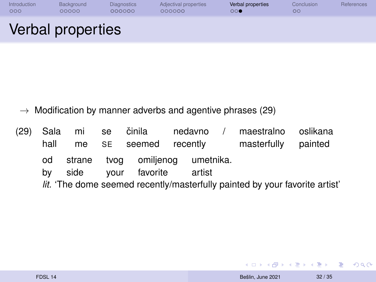| Introduction | Background        | <b>Diagnostics</b> | Adjectival properties | Verbal properties | Conclusion | References |
|--------------|-------------------|--------------------|-----------------------|-------------------|------------|------------|
| 000          | 00000             | 000000             | 000000                | ಂ∙                | OΟ         |            |
|              | Verbal properties |                    |                       |                   |            |            |

- $\rightarrow$  Modification by manner adverbs and agentive phrases (29)
- (29) Sala hall mi me se SE činila seemed nedavno recently maestralno masterfully oslikana painted od by strane side tvog your omiljenog favorite umetnika. artist *lit.* 'The dome seemed recently/masterfully painted by your favorite artist'

 $\equiv$   $\Omega Q$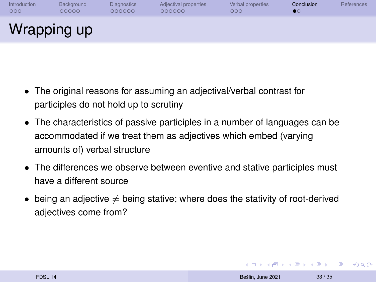<span id="page-32-0"></span>

| Introduction | Background  | <b>Diagnostics</b> | Adjectival properties | Verbal properties | Conclusion | <b>References</b> |
|--------------|-------------|--------------------|-----------------------|-------------------|------------|-------------------|
| 000          | 00000       | 000000             | 000000                | 000               | $\bullet$  |                   |
|              | Wrapping up |                    |                       |                   |            |                   |

- The original reasons for assuming an adjectival/verbal contrast for participles do not hold up to scrutiny
- The characteristics of passive participles in a number of languages can be accommodated if we treat them as adjectives which embed (varying amounts of) verbal structure
- The differences we observe between eventive and stative participles must have a different source
- being an adjective  $\neq$  being stative; where does the stativity of root-derived adjectives come from?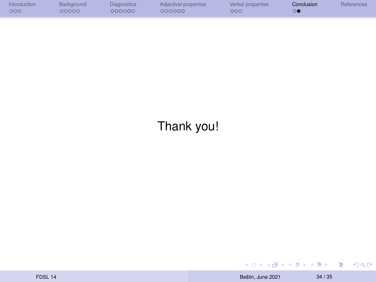| Introduction | Background | <b>Diagnostics</b> | Adjectival properties | Verbal properties | Conclusion | References |
|--------------|------------|--------------------|-----------------------|-------------------|------------|------------|
| 000          | 20000      | 200000             | 000000                | 000               |            |            |

## Thank you!

 $\equiv$  990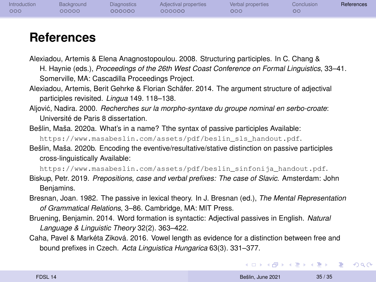| Introduction<br>Adjectival properties<br>Verbal properties<br>Diagnostics<br>Conclusion<br><b>Background</b><br>000<br>000000<br>00000<br>000000<br>000 <sub>1</sub><br>$\circ$ |  | References |
|---------------------------------------------------------------------------------------------------------------------------------------------------------------------------------|--|------------|
|---------------------------------------------------------------------------------------------------------------------------------------------------------------------------------|--|------------|

#### **References**

- <span id="page-34-5"></span>Alexiadou, Artemis & Elena Anagnostopoulou. 2008. Structuring participles. In C. Chang & H. Haynie (eds.), *Proceedings of the 26th West Coast Conference on Formal Linguistics*, 33–41. Somerville, MA: Cascadilla Proceedings Project.
- <span id="page-34-3"></span>Alexiadou, Artemis, Berit Gehrke & Florian Schäfer. 2014. The argument structure of adjectival participles revisited. *Lingua* 149. 118–138.
- <span id="page-34-6"></span>Aljović, Nadira, 2000. *Recherches sur la morpho-syntaxe du groupe nominal en serbo-croate*: Université de Paris 8 dissertation.
- <span id="page-34-0"></span>Bešlin, Maša. 2020a. What's in a name? Tthe syntax of passive participles Available: [https://www.masabeslin.com/assets/pdf/beslin\\_sls\\_handout.pdf](https://www.masabeslin.com/assets/pdf/beslin_sls_handout.pdf).
- <span id="page-34-1"></span>Bešlin, Maša. 2020b. Encoding the eventive/resultative/stative distinction on passive participles cross-linguistically Available:

[https://www.masabeslin.com/assets/pdf/beslin\\_sinfonija\\_handout.pdf](https://www.masabeslin.com/assets/pdf/beslin_sinfonija_handout.pdf).

- <span id="page-34-8"></span>Biskup, Petr. 2019. *Prepositions, case and verbal prefixes: The case of Slavic*. Amsterdam: John Benjamins.
- <span id="page-34-2"></span>Bresnan, Joan. 1982. The passive in lexical theory. In J. Bresnan (ed.), *The Mental Representation of Grammatical Relations*, 3–86. Cambridge, MA: MIT Press.
- <span id="page-34-4"></span>Bruening, Benjamin. 2014. Word formation is syntactic: Adjectival passives in English. *Natural Language & Linguistic Theory* 32(2). 363–422.
- <span id="page-34-7"></span>Caha, Pavel & Markéta Ziková. 2016. Vowel length as evidence for a distinction between free and bound prefixes in Czech. *Acta Linguistica Hungarica* 63(3). 331–377.

**KORK (FRANCIST)** 

 $2990$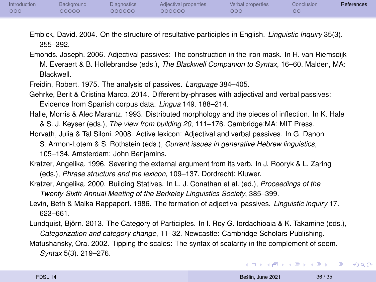<span id="page-35-0"></span>

| Introduction | Background | <b>Diagnostics</b> | Adjectival properties | Verbal properties | Conclusion | References |
|--------------|------------|--------------------|-----------------------|-------------------|------------|------------|
| 000          | 00000      | 000000             | 200000                | 000               | OC         |            |

- <span id="page-35-8"></span>Embick, David. 2004. On the structure of resultative participles in English. *Linguistic Inquiry* 35(3). 355–392.
- <span id="page-35-5"></span>Emonds, Joseph. 2006. Adjectival passives: The construction in the iron mask. In H. van Riemsdijk M. Everaert & B. Hollebrandse (eds.), *The Blackwell Companion to Syntax*, 16–60. Malden, MA: Blackwell.
- <span id="page-35-4"></span>Freidin, Robert. 1975. The analysis of passives. *Language* 384–405.
- <span id="page-35-7"></span>Gehrke, Berit & Cristina Marco. 2014. Different by-phrases with adjectival and verbal passives: Evidence from Spanish corpus data. *Lingua* 149. 188–214.
- <span id="page-35-9"></span>Halle, Morris & Alec Marantz. 1993. Distributed morphology and the pieces of inflection. In K. Hale & S. J. Keyser (eds.), *The view from building 20*, 111–176. Cambridge:MA: MIT Press.
- <span id="page-35-3"></span>Horvath, Julia & Tal Siloni. 2008. Active lexicon: Adjectival and verbal passives. In G. Danon
	- S. Armon-Lotem & S. Rothstein (eds.), *Current issues in generative Hebrew linguistics*, 105–134. Amsterdam: John Benjamins.
- Kratzer, Angelika. 1996. Severing the external argument from its verb. In J. Rooryk & L. Zaring (eds.), *Phrase structure and the lexicon*, 109–137. Dordrecht: Kluwer.
- <span id="page-35-2"></span>Kratzer, Angelika. 2000. Building Statives. In L. J. Conathan et al. (ed.), *Proceedings of the*
	- *Twenty-Sixth Annual Meeting of the Berkeley Linguistics Society*, 385–399.
- <span id="page-35-1"></span>Levin, Beth & Malka Rappaport. 1986. The formation of adjectival passives. *Linguistic inquiry* 17. 623–661.
- <span id="page-35-6"></span>Lundquist, Björn. 2013. The Category of Participles. In I. Roy G. Iordachioaia & K. Takamine (eds.), *Categorization and category change*, 11–32. Newcastle: Cambridge Scholars Publishing.
- <span id="page-35-10"></span>Matushansky, Ora. 2002. Tipping the scales: The syntax of scalarity in the complement of seem. *Syntax* 5(3). 219–276.

イロト イ何 トイヨ トイヨ トーヨー

 $\Omega$